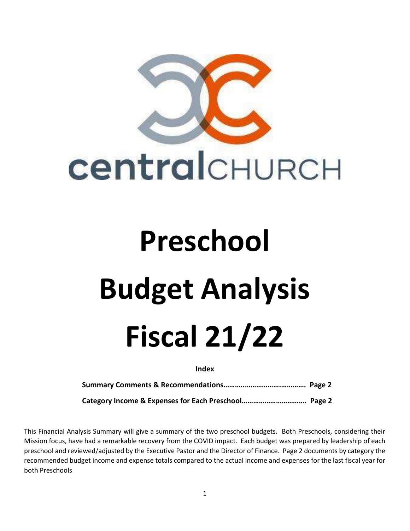

## Preschool Budget Analysis Fiscal 21/22

Index

Summary Comments & Recommendations………..……………….…………. Page 2

Category Income & Expenses for Each Preschool……………………………. Page 2

This Financial Analysis Summary will give a summary of the two preschool budgets. Both Preschools, considering their Mission focus, have had a remarkable recovery from the COVID impact. Each budget was prepared by leadership of each preschool and reviewed/adjusted by the Executive Pastor and the Director of Finance. Page 2 documents by category the recommended budget income and expense totals compared to the actual income and expenses for the last fiscal year for both Preschools